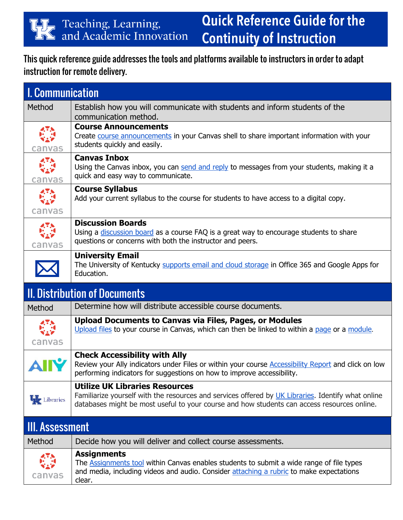## **Quick Reference Guide for the Continuity of Instruction**

This quick reference guide addresses the tools and platforms available to instructors in order to adapt instruction for remote delivery.

| <b>I. Communication</b>                  |                                                                                                                                                                                                                                            |
|------------------------------------------|--------------------------------------------------------------------------------------------------------------------------------------------------------------------------------------------------------------------------------------------|
| Method                                   | Establish how you will communicate with students and inform students of the<br>communication method.                                                                                                                                       |
| canvas                                   | <b>Course Announcements</b><br>Create course announcements in your Canvas shell to share important information with your<br>students quickly and easily.                                                                                   |
| $\overline{A}$<br>$\mathbf{v}$<br>canvas | <b>Canvas Inbox</b><br>Using the Canvas inbox, you can send and reply to messages from your students, making it a<br>quick and easy way to communicate.                                                                                    |
| 47.5<br>827<br>canvas                    | <b>Course Syllabus</b><br>Add your current syllabus to the course for students to have access to a digital copy.                                                                                                                           |
| $\mathbf{v}_{\mathbf{z}}$<br>canvas      | <b>Discussion Boards</b><br>Using a discussion board as a course FAQ is a great way to encourage students to share<br>questions or concerns with both the instructor and peers.                                                            |
|                                          | <b>University Email</b><br>The University of Kentucky supports email and cloud storage in Office 365 and Google Apps for<br>Education.                                                                                                     |
| <b>II. Distribution of Documents</b>     |                                                                                                                                                                                                                                            |
| Method                                   | Determine how will distribute accessible course documents.                                                                                                                                                                                 |
| canvas                                   | <b>Upload Documents to Canvas via Files, Pages, or Modules</b><br>Upload files to your course in Canvas, which can then be linked to within a page or a module.                                                                            |
|                                          | <b>Check Accessibility with Ally</b><br>Review your Ally indicators under Files or within your course <b>Accessibility Report</b> and click on low<br>performing indicators for suggestions on how to improve accessibility.               |
| <b>W</b> Libraries                       | <b>Utilize UK Libraries Resources</b><br>Familiarize yourself with the resources and services offered by UK Libraries. Identify what online<br>databases might be most useful to your course and how students can access resources online. |
| <b>III. Assessment</b>                   |                                                                                                                                                                                                                                            |
|                                          |                                                                                                                                                                                                                                            |
| Method                                   | Decide how you will deliver and collect course assessments.<br><b>Assignments</b>                                                                                                                                                          |